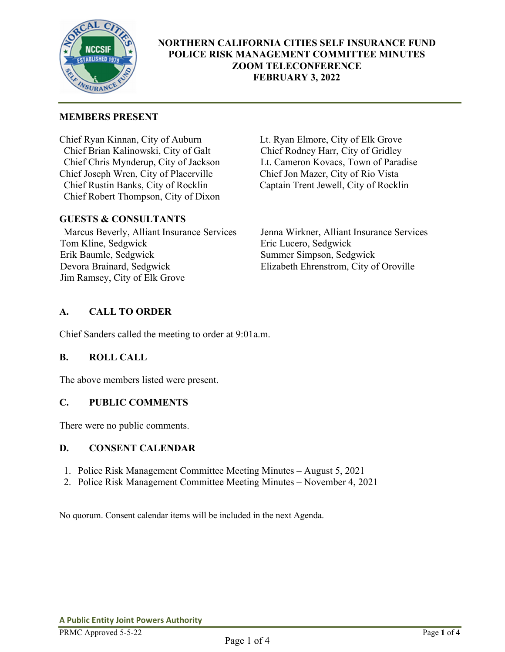

# **NORTHERN CALIFORNIA CITIES SELF INSURANCE FUND POLICE RISK MANAGEMENT COMMITTEE MINUTES ZOOM TELECONFERENCE FEBRUARY 3, 2022**

### **MEMBERS PRESENT**

Chief Ryan Kinnan, City of Auburn Lt. Ryan Elmore, City of Elk Grove Chief Brian Kalinowski, City of Galt Chief Rodney Harr, City of Gridley Chief Chris Mynderup, City of Jackson Lt. Cameron Kovacs, Town of Paradise<br>Chief Joseph Wren, City of Placerville Chief Jon Mazer, City of Rio Vista Chief Joseph Wren, City of Placerville Chief Rustin Banks, City of Rocklin Captain Trent Jewell, City of Rocklin Chief Robert Thompson, City of Dixon

### **GUESTS & CONSULTANTS**

Marcus Beverly, Alliant Insurance Services Jenna Wirkner, Alliant Insurance Services Tom Kline, Sedgwick Eric Lucero, Sedgwick Erik Baumle, Sedgwick Summer Simpson, Sedgwick Devora Brainard, Sedgwick Elizabeth Ehrenstrom, City of Oroville Jim Ramsey, City of Elk Grove

# **A. CALL TO ORDER**

Chief Sanders called the meeting to order at 9:01a.m.

# **B. ROLL CALL**

The above members listed were present.

### **C. PUBLIC COMMENTS**

There were no public comments.

### **D. CONSENT CALENDAR**

- 1. Police Risk Management Committee Meeting Minutes August 5, 2021
- 2. Police Risk Management Committee Meeting Minutes November 4, 2021

No quorum. Consent calendar items will be included in the next Agenda.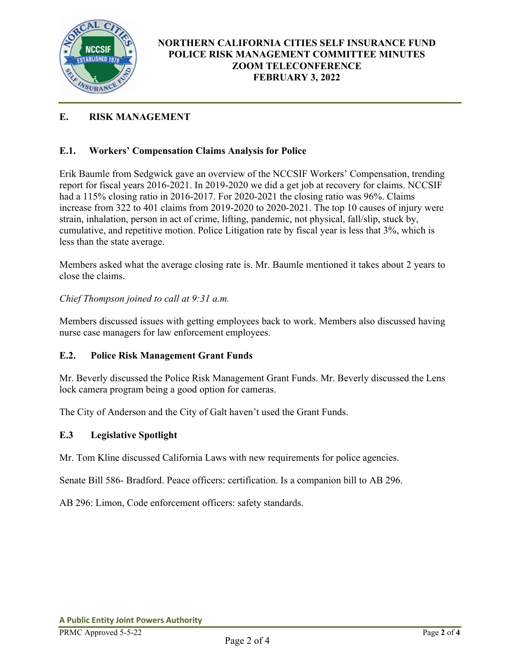

# **E. RISK MANAGEMENT**

### **E.1. Workers' Compensation Claims Analysis for Police**

Erik Baumle from Sedgwick gave an overview of the NCCSIF Workers' Compensation, trending report for fiscal years 2016-2021. In 2019-2020 we did a get job at recovery for claims. NCCSIF had a 115% closing ratio in 2016-2017. For 2020-2021 the closing ratio was 96%. Claims increase from 322 to 401 claims from 2019-2020 to 2020-2021. The top 10 causes of injury were strain, inhalation, person in act of crime, lifting, pandemic, not physical, fall/slip, stuck by, cumulative, and repetitive motion. Police Litigation rate by fiscal year is less that 3%, which is less than the state average.

Members asked what the average closing rate is. Mr. Baumle mentioned it takes about 2 years to close the claims.

*Chief Thompson joined to call at 9:31 a.m.* 

Members discussed issues with getting employees back to work. Members also discussed having nurse case managers for law enforcement employees.

### **E.2. Police Risk Management Grant Funds**

Mr. Beverly discussed the Police Risk Management Grant Funds. Mr. Beverly discussed the Lens lock camera program being a good option for cameras.

The City of Anderson and the City of Galt haven't used the Grant Funds.

### **E.3 Legislative Spotlight**

Mr. Tom Kline discussed California Laws with new requirements for police agencies.

Senate Bill 586- Bradford. Peace officers: certification. Is a companion bill to AB 296.

AB 296: Limon, Code enforcement officers: safety standards.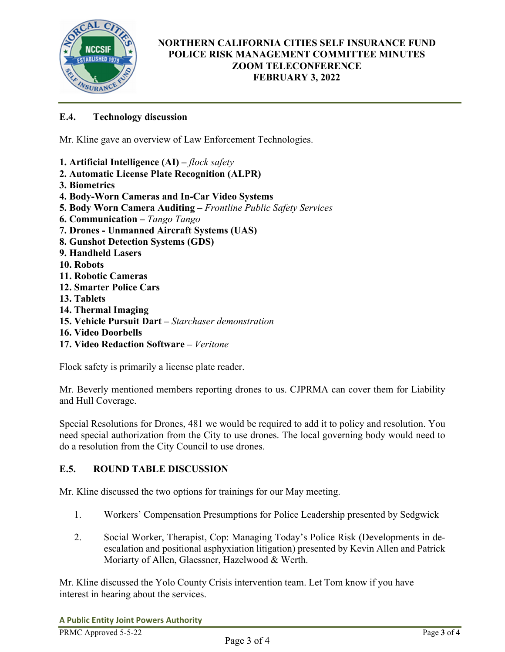

# **NORTHERN CALIFORNIA CITIES SELF INSURANCE FUND POLICE RISK MANAGEMENT COMMITTEE MINUTES ZOOM TELECONFERENCE FEBRUARY 3, 2022**

# **E.4. Technology discussion**

Mr. Kline gave an overview of Law Enforcement Technologies.

- **1. Artificial Intelligence (AI)** *flock safety*
- **2. Automatic License Plate Recognition (ALPR)**
- **3. Biometrics**
- **4. Body-Worn Cameras and In-Car Video Systems**
- **5. Body Worn Camera Auditing** *Frontline Public Safety Services*
- **6. Communication** *Tango Tango*
- **7. Drones Unmanned Aircraft Systems (UAS)**
- **8. Gunshot Detection Systems (GDS)**
- **9. Handheld Lasers**
- **10. Robots**
- **11. Robotic Cameras**
- **12. Smarter Police Cars**
- **13. Tablets**
- **14. Thermal Imaging**
- **15. Vehicle Pursuit Dart** *Starchaser demonstration*
- **16. Video Doorbells**
- **17. Video Redaction Software** *Veritone*

Flock safety is primarily a license plate reader.

Mr. Beverly mentioned members reporting drones to us. CJPRMA can cover them for Liability and Hull Coverage.

Special Resolutions for Drones, 481 we would be required to add it to policy and resolution. You need special authorization from the City to use drones. The local governing body would need to do a resolution from the City Council to use drones.

### **E.5. ROUND TABLE DISCUSSION**

Mr. Kline discussed the two options for trainings for our May meeting.

- 1. Workers' Compensation Presumptions for Police Leadership presented by Sedgwick
- 2. Social Worker, Therapist, Cop: Managing Today's Police Risk (Developments in deescalation and positional asphyxiation litigation) presented by Kevin Allen and Patrick Moriarty of Allen, Glaessner, Hazelwood & Werth.

Mr. Kline discussed the Yolo County Crisis intervention team. Let Tom know if you have interest in hearing about the services.

**A Public Entity Joint Powers Authority**